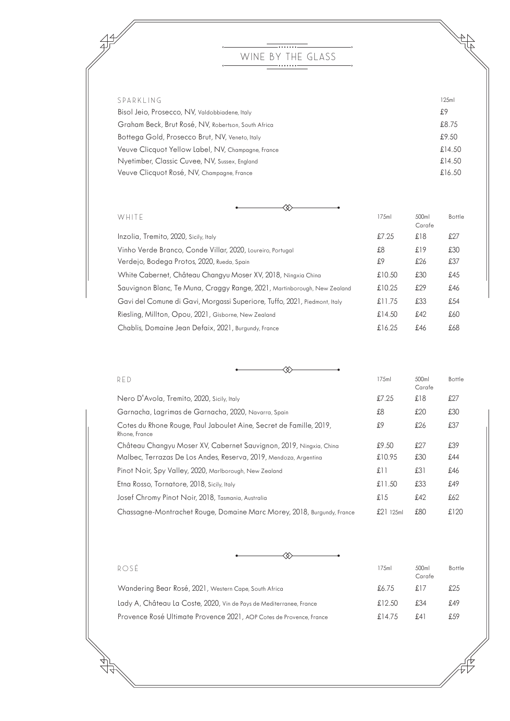## —……— WINE BY THE GLASS

 $47$ 

44

| SPARKLING<br>125ml                                           |  |
|--------------------------------------------------------------|--|
| £9<br>Bisol Jeio, Prosecco, NV, Valdobbiadene, Italy         |  |
| £8.75<br>Graham Beck, Brut Rosé, NV, Robertson, South Africa |  |
| £9.50<br>Bottega Gold, Prosecco Brut, NV, Veneto, Italy      |  |
| £14.50<br>Veuve Clicquot Yellow Label, NV, Champagne, France |  |
| Nyetimber, Classic Cuvee, NV, Sussex, England<br>£14.50      |  |
| Veuve Clicquot Rosé, NV, Champagne, France<br>£16.50         |  |

| WHITE                                                                     | 175ml     | 500ml<br>Carafe | Bottle |
|---------------------------------------------------------------------------|-----------|-----------------|--------|
| Inzolia, Tremito, 2020, Sicily, Italy                                     | £7.25     | £18             | £27    |
| Vinho Verde Branco, Conde Villar, 2020, Loureiro, Portugal                | £8        | £19             | £30    |
| Verdejo, Bodega Protos, 2020, Rueda, Spain                                | £9        | £26             | £37    |
| White Cabernet, Château Changyu Moser XV, 2018, Ningxia China             | £10.50    | £30             | £45    |
| Sauvignon Blanc, Te Muna, Craggy Range, 2021, Martinborough, New Zealand  | £ $10.25$ | £29             | £46    |
| Gavi del Comune di Gavi, Morgassi Superiore, Tuffo, 2021, Piedmont, Italy | £11.75    | £33             | £54    |
| Riesling, Millton, Opou, 2021, Gisborne, New Zealand                      | £14.50    | £42             | £60    |
| Chablis, Domaine Jean Defaix, 2021, Burgundy, France                      | £16.25    | £46             | £68    |

| <b>RFD</b>                                                                          | 175ml       | 500ml<br>Carafe | Bottle |
|-------------------------------------------------------------------------------------|-------------|-----------------|--------|
| Nero D'Avola, Tremito, 2020, Sicily, Italy                                          | £7.25       | £18             | £27    |
| Garnacha, Lagrimas de Garnacha, 2020, Navarra, Spain                                | £8          | £20             | £30    |
| Cotes du Rhone Rouge, Paul Jaboulet Aine, Secret de Famille, 2019,<br>Rhone, France | £9          | £26             | £37    |
| Château Changyu Moser XV, Cabernet Sauvignon, 2019, Ningxia, China                  | £9.50       | £27             | £39    |
| Malbec, Terrazas De Los Andes, Reserva, 2019, Mendoza, Argentina                    | £10.95      | £30             | £44    |
| Pinot Noir, Spy Valley, 2020, Marlborough, New Zealand                              | £11         | £31             | £46    |
| Etna Rosso, Tornatore, 2018, Sicily, Italy                                          | £11.50      | £33             | £49    |
| Josef Chromy Pinot Noir, 2018, Tasmania, Australia                                  | £15         | £42             | £62    |
| Chassagne-Montrachet Rouge, Domaine Marc Morey, 2018, Burgundy, France              | $£21$ 125ml | £80             | £120   |

|  | ROSE                                                                | 175ml  | 500ml<br>Carafe | Bottle |
|--|---------------------------------------------------------------------|--------|-----------------|--------|
|  | Wandering Bear Rosé, 2021, Western Cape, South Africa               | £6.75  | £17             | £25    |
|  | Lady A, Château La Coste, 2020, Vin de Pays de Mediterranee, France | £12.50 | £34             | £49    |
|  | Provence Rosé Ultimate Provence 2021, AOP Cotes de Provence, France | £14.75 | f.41            | £59    |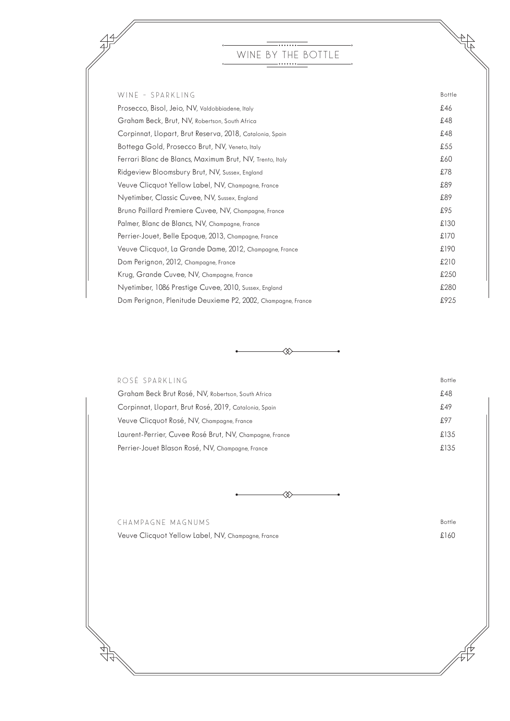## —<del>………</del> WINE BY THE BOTTLE

 $\begin{matrix} 4 \\ 4 \end{matrix}$ 

**ARTISTS** 

| WINE - SPARKLING                                             | Bottle |
|--------------------------------------------------------------|--------|
| Prosecco, Bisol, Jeio, NV, Valdobbiadene, Italy              | £46    |
| Graham Beck, Brut, NV, Robertson, South Africa               | £48    |
| Corpinnat, Llopart, Brut Reserva, 2018, Catalonia, Spain     | £48    |
| Bottega Gold, Prosecco Brut, NV, Veneto, Italy               | £55    |
| Ferrari Blanc de Blancs, Maximum Brut, NV, Trento, Italy     | £60    |
| Ridgeview Bloomsbury Brut, NV, Sussex, England               | £78    |
| Veuve Clicquot Yellow Label, NV, Champagne, France           | £89    |
| Nyetimber, Classic Cuvee, NV, Sussex, England                | £89    |
| Bruno Paillard Premiere Cuvee, NV, Champagne, France         | £95    |
| Palmer, Blanc de Blancs, NV, Champagne, France               | £130   |
| Perrier-Jouet, Belle Epoque, 2013, Champagne, France         | £170   |
| Veuve Clicquot, La Grande Dame, 2012, Champagne, France      | £190   |
| Dom Perignon, 2012, Champagne, France                        | £210   |
| Krug, Grande Cuvee, NV, Champagne, France                    | £250   |
| Nyetimber, 1086 Prestige Cuvee, 2010, Sussex, England        | £280   |
| Dom Perignon, Plenitude Deuxieme P2, 2002, Champagne, France | £925   |
|                                                              |        |

| ROSÉ SPARKLING                                          | <b>Bottle</b> |
|---------------------------------------------------------|---------------|
| Graham Beck Brut Rosé, NV, Robertson, South Africa      | £48           |
| Corpinnat, Llopart, Brut Rosé, 2019, Catalonia, Spain   | £49           |
| Veuve Clicquot Rosé, NV, Champagne, France              | £97           |
| Laurent-Perrier, Cuvee Rosé Brut, NV, Champagne, France | £135          |
| Perrier-Jouet Blason Rosé, NV, Champagne, France        | £135          |

⊗

CHAMPAGNE MAGNUMS Bottle Veuve Clicquot Yellow Label, NV, Champagne, France £160

 $\sqrt{7}$ 

 $\frac{49}{7}$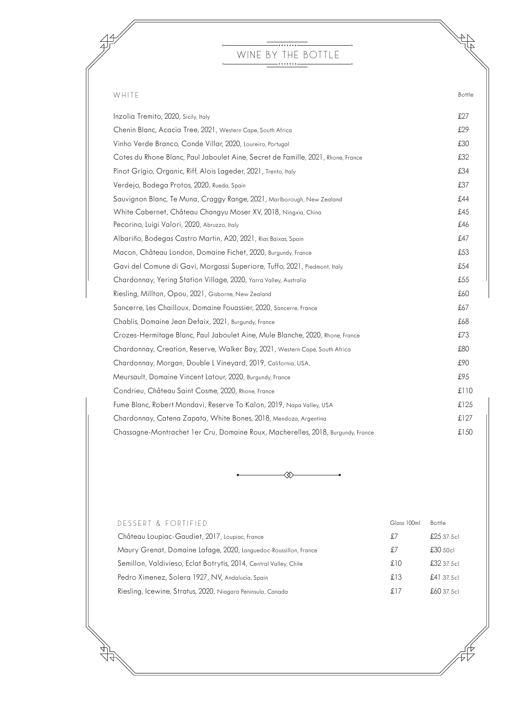## $\overline{\phantom{iiiiiiiiiiiiiiiiiiiiiiiiiiiiiiiiiiiiiiiiii}}$ WINE BY THE BOTTLE

 $47^{\circ}$ 

44

| WHITE                                                                            | Bottle |
|----------------------------------------------------------------------------------|--------|
| Inzolia Tremito, 2020, Sicily, Italy                                             | £27    |
| Chenin Blanc, Acacia Tree, 2021, Western Cape, South Africa                      | £29    |
| Vinho Verde Branco, Conde Villar, 2020, Loureiro, Portugal                       | £30    |
| Cotes du Rhone Blanc, Paul Jaboulet Aine, Secret de Famille, 2021, Rhone, France | £32    |
| Pinot Grigio, Organic, Riff, Alois Lageder, 2021, Trento, Italy                  | £34    |
| Verdejo, Bodega Protos, 2020, Rueda, Spain                                       | £37    |
| Sauvignon Blanc, Te Muna, Craggy Range, 2021, Marlborough, New Zealand           | £44    |
| White Cabernet, Château Changyu Moser XV, 2018, Ningxia, China                   | £45    |
| Pecorino, Luigi Valori, 2020, Abruzzo, Italy                                     | £46    |
| Albariño, Bodegas Castro Martin, A20, 2021, Rias Baixas, Spain                   | £47    |
| Macon, Château London, Domaine Fichet, 2020, Burgundy, France                    | £53    |
| Gavi del Comune di Gavi, Morgassi Superiore, Tuffo, 2021, Piedmont, Italy        | £54    |
| Chardonnay, Yering Station Village, 2020, Yarra Valley, Australia                | £55    |
| Riesling, Millton, Opou, 2021, Gisborne, New Zealand                             | £60    |
| Sancerre, Les Chailloux, Domaine Fouassier, 2020, Sancerre, France               | £67    |
| Chablis, Domaine Jean Defaix, 2021, Burgundy, France                             | £68    |
| Crozes-Hermitage Blanc, Paul Jaboulet Aine, Mule Blanche, 2020, Rhone, France    | £73    |
| Chardonnay, Creation, Reserve, Walker Bay, 2021, Western Cape, South Africa      | £80    |
| Chardonnay, Morgan, Double L Vineyard, 2019, California, USA,                    | £90    |
| Meursault, Domaine Vincent Latour, 2020, Burgundy, France                        | £95    |
| Condrieu, Château Saint Cosme, 2020, Rhone, France                               | £110   |
| Fume Blanc, Robert Mondavi, Reserve To Kalon, 2019, Napa Valley, USA             | £125   |
| Chardonnay, Catena Zapata, White Bones, 2018, Mendoza, Argentina                 | £127   |
| Chassagne-Montrachet 1 er Cru, Domaine Roux, Macherelles, 2018, Burgundy, France | £150   |

◈

| DESSERT & FORTIFIED                                               | Glass 100ml | Bottle    |
|-------------------------------------------------------------------|-------------|-----------|
| Château Loupiac-Gaudiet, 2017, Loupiac, France                    | £7          | £2537.5c  |
| Maury Grenat, Domaine Lafage, 2020, Languedoc-Roussillon, France  | £7          | £30,50c   |
| Semillon, Valdivieso, Eclat Botrytis, 2014, Central Valley, Chile | £10         | £3237.5c  |
| Pedro Ximenez, Solera 1927, NV, Andalucía, Spain                  | £13         | f.4137.5c |
| Riesling, Icewine, Stratus, 2020, Niagara Peninsula, Canada       | £17         | £60.37.5c |